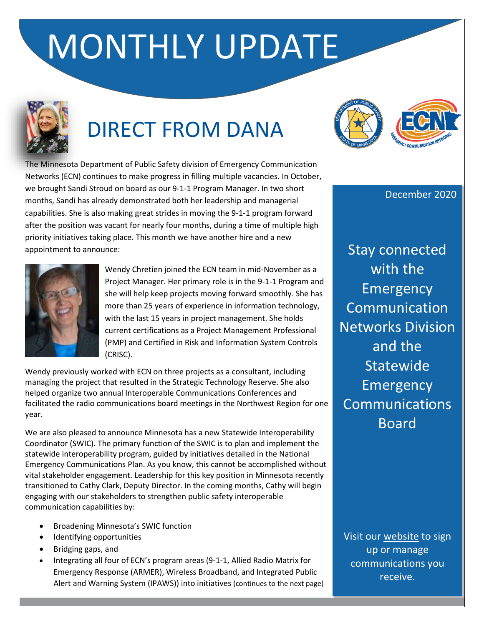# MONTHLY UPDATE



# DIRECT FROM DANA

The Minnesota Department of Public Safety division of Emergency Communication Networks (ECN) continues to make progress in filling multiple vacancies. In October, we brought Sandi Stroud on board as our 9-1-1 Program Manager. In two short months, Sandi has already demonstrated both her leadership and managerial capabilities. She is also making great strides in moving the 9-1-1 program forward after the position was vacant for nearly four months, during a time of multiple high priority initiatives taking place. This month we have another hire and a new appointment to announce:



Wendy Chretien joined the ECN team in mid-November as a Project Manager. Her primary role is in the 9-1-1 Program and she will help keep projects moving forward smoothly. She has more than 25 years of experience in information technology, with the last 15 years in project management. She holds current certifications as a Project Management Professional (PMP) and Certified in Risk and Information System Controls (CRISC).

Wendy previously worked with ECN on three projects as a consultant, including managing the project that resulted in the Strategic Technology Reserve. She also helped organize two annual Interoperable Communications Conferences and facilitated the radio communications board meetings in the Northwest Region for one year.

We are also pleased to announce Minnesota has a new Statewide Interoperability Coordinator (SWIC). The primary function of the SWIC is to plan and implement the statewide interoperability program, guided by initiatives detailed in the National Emergency Communications Plan. As you know, this cannot be accomplished without vital stakeholder engagement. Leadership for this key position in Minnesota recently transitioned to Cathy Clark, Deputy Director. In the coming months, Cathy will begin engaging with our stakeholders to strengthen public safety interoperable communication capabilities by:

- Broadening Minnesota's SWIC function
- Identifying opportunities
- Bridging gaps, and
- Integrating all four of ECN's program areas (9-1-1, Allied Radio Matrix for Emergency Response (ARMER), Wireless Broadband, and Integrated Public Alert and Warning System (IPAWS)) into initiatives (continues to the next page)



December 2020

Stay connected with the **Emergency Communication** Networks Division and the **Statewide Emergency** Communications Board

Visit our [website](http://ecn.dps.mn.gov/) to sign up or manage communications you receive.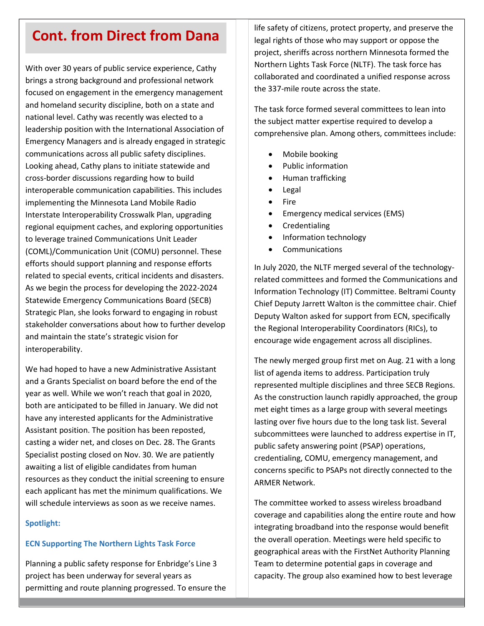### **Cont. from Direct from Dana**

With over 30 years of public service experience, Cathy brings a strong background and professional network focused on engagement in the emergency management and homeland security discipline, both on a state and national level. Cathy was recently was elected to a leadership position with the International Association of Emergency Managers and is already engaged in strategic communications across all public safety disciplines. Looking ahead, Cathy plans to initiate statewide and cross-border discussions regarding how to build interoperable communication capabilities. This includes implementing the Minnesota Land Mobile Radio Interstate Interoperability Crosswalk Plan, upgrading regional equipment caches, and exploring opportunities to leverage trained Communications Unit Leader (COML)/Communication Unit (COMU) personnel. These efforts should support planning and response efforts related to special events, critical incidents and disasters. As we begin the process for developing the 2022-2024 Statewide Emergency Communications Board (SECB) Strategic Plan, she looks forward to engaging in robust stakeholder conversations about how to further develop and maintain the state's strategic vision for interoperability.

We had hoped to have a new Administrative Assistant and a Grants Specialist on board before the end of the year as well. While we won't reach that goal in 2020, both are anticipated to be filled in January. We did not have any interested applicants for the Administrative Assistant position. The position has been reposted, casting a wider net, and closes on Dec. 28. The Grants Specialist posting closed on Nov. 30. We are patiently awaiting a list of eligible candidates from human resources as they conduct the initial screening to ensure each applicant has met the minimum qualifications. We will schedule interviews as soon as we receive names.

### **Spotlight:**

### **ECN Supporting The Northern Lights Task Force**

Planning a public safety response for Enbridge's Line 3 project has been underway for several years as permitting and route planning progressed. To ensure the

life safety of citizens, protect property, and preserve the legal rights of those who may support or oppose the project, sheriffs across northern Minnesota formed the Northern Lights Task Force (NLTF). The task force has collaborated and coordinated a unified response across the 337-mile route across the state.

The task force formed several committees to lean into the subject matter expertise required to develop a comprehensive plan. Among others, committees include:

- Mobile booking
- Public information
- Human trafficking
- Legal
- Fire
- Emergency medical services (EMS)
- **Credentialing**
- Information technology
- **Communications**

In July 2020, the NLTF merged several of the technologyrelated committees and formed the Communications and Information Technology (IT) Committee. Beltrami County Chief Deputy Jarrett Walton is the committee chair. Chief Deputy Walton asked for support from ECN, specifically the Regional Interoperability Coordinators (RICs), to encourage wide engagement across all disciplines.

The newly merged group first met on Aug. 21 with a long list of agenda items to address. Participation truly represented multiple disciplines and three SECB Regions. As the construction launch rapidly approached, the group met eight times as a large group with several meetings lasting over five hours due to the long task list. Several subcommittees were launched to address expertise in IT, public safety answering point (PSAP) operations, credentialing, COMU, emergency management, and concerns specific to PSAPs not directly connected to the ARMER Network.

The committee worked to assess wireless broadband coverage and capabilities along the entire route and how integrating broadband into the response would benefit the overall operation. Meetings were held specific to geographical areas with the FirstNet Authority Planning Team to determine potential gaps in coverage and capacity. The group also examined how to best leverage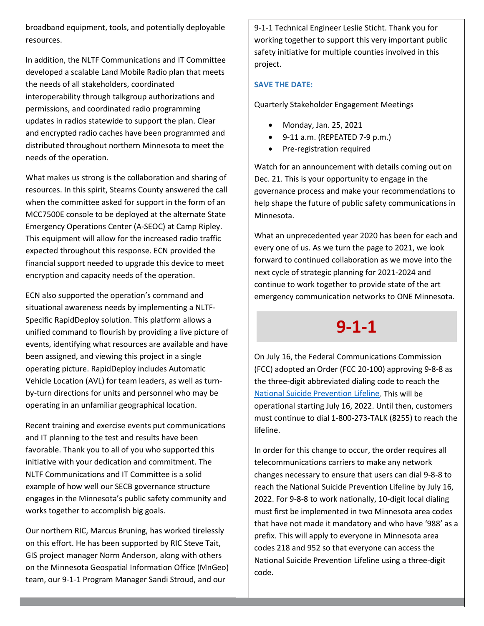broadband equipment, tools, and potentially deployable resources.

In addition, the NLTF Communications and IT Committee developed a scalable Land Mobile Radio plan that meets the needs of all stakeholders, coordinated interoperability through talkgroup authorizations and permissions, and coordinated radio programming updates in radios statewide to support the plan. Clear and encrypted radio caches have been programmed and distributed throughout northern Minnesota to meet the needs of the operation.

What makes us strong is the collaboration and sharing of resources. In this spirit, Stearns County answered the call when the committee asked for support in the form of an MCC7500E console to be deployed at the alternate State Emergency Operations Center (A-SEOC) at Camp Ripley. This equipment will allow for the increased radio traffic expected throughout this response. ECN provided the financial support needed to upgrade this device to meet encryption and capacity needs of the operation.

ECN also supported the operation's command and situational awareness needs by implementing a NLTF-Specific RapidDeploy solution. This platform allows a unified command to flourish by providing a live picture of events, identifying what resources are available and have been assigned, and viewing this project in a single operating picture. RapidDeploy includes Automatic Vehicle Location (AVL) for team leaders, as well as turnby-turn directions for units and personnel who may be operating in an unfamiliar geographical location.

Recent training and exercise events put communications and IT planning to the test and results have been favorable. Thank you to all of you who supported this initiative with your dedication and commitment. The NLTF Communications and IT Committee is a solid example of how well our SECB governance structure engages in the Minnesota's public safety community and works together to accomplish big goals.

Our northern RIC, Marcus Bruning, has worked tirelessly on this effort. He has been supported by RIC Steve Tait, GIS project manager Norm Anderson, along with others on the Minnesota Geospatial Information Office (MnGeo) team, our 9-1-1 Program Manager Sandi Stroud, and our

9-1-1 Technical Engineer Leslie Sticht. Thank you for working together to support this very important public safety initiative for multiple counties involved in this project.

### **SAVE THE DATE:**

Quarterly Stakeholder Engagement Meetings

- Monday, Jan. 25, 2021
- 9-11 a.m. (REPEATED 7-9 p.m.)
- Pre-registration required

Watch for an announcement with details coming out on Dec. 21. This is your opportunity to engage in the governance process and make your recommendations to help shape the future of public safety communications in Minnesota.

What an unprecedented year 2020 has been for each and every one of us. As we turn the page to 2021, we look forward to continued collaboration as we move into the next cycle of strategic planning for 2021-2024 and continue to work together to provide state of the art emergency communication networks to ONE Minnesota.

### **9-1-1**

On July 16, the Federal Communications Commission (FCC) adopted an Order (FCC 20-100) approving 9-8-8 as the three-digit abbreviated dialing code to reach the [National Suicide Prevention Lifeline.](https://www.fcc.gov/suicide-prevention-hotline) This will be operational starting July 16, 2022. Until then, customers must continue to dial 1-800-273-TALK (8255) to reach the lifeline.

In order for this change to occur, the order requires all telecommunications carriers to make any network changes necessary to ensure that users can dial 9-8-8 to reach the National Suicide Prevention Lifeline by July 16, 2022. For 9-8-8 to work nationally, 10-digit local dialing must first be implemented in two Minnesota area codes that have not made it mandatory and who have '988' as a prefix. This will apply to everyone in Minnesota area codes 218 and 952 so that everyone can access the National Suicide Prevention Lifeline using a three-digit code.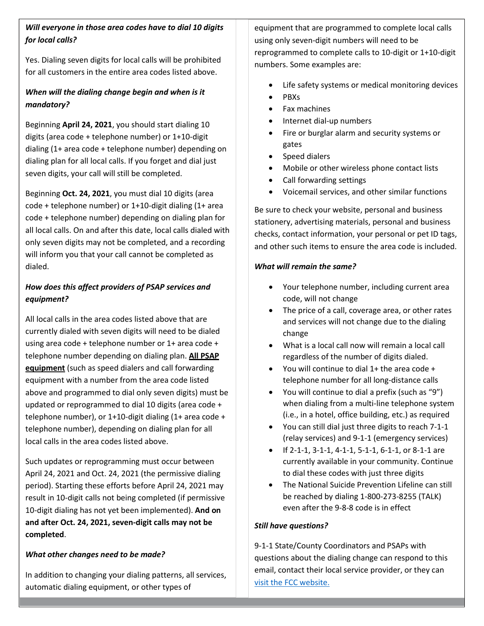### *Will everyone in those area codes have to dial 10 digits for local calls?*

Yes. Dialing seven digits for local calls will be prohibited for all customers in the entire area codes listed above.

### *When will the dialing change begin and when is it mandatory?*

Beginning **April 24, 2021**, you should start dialing 10 digits (area code + telephone number) or 1+10-digit dialing (1+ area code + telephone number) depending on dialing plan for all local calls. If you forget and dial just seven digits, your call will still be completed.

Beginning **Oct. 24, 2021**, you must dial 10 digits (area code + telephone number) or 1+10-digit dialing (1+ area code + telephone number) depending on dialing plan for all local calls. On and after this date, local calls dialed with only seven digits may not be completed, and a recording will inform you that your call cannot be completed as dialed.

### *How does this affect providers of PSAP services and equipment?*

All local calls in the area codes listed above that are currently dialed with seven digits will need to be dialed using area code + telephone number or 1+ area code + telephone number depending on dialing plan. **All PSAP equipment** (such as speed dialers and call forwarding equipment with a number from the area code listed above and programmed to dial only seven digits) must be updated or reprogrammed to dial 10 digits (area code + telephone number), or 1+10-digit dialing (1+ area code + telephone number), depending on dialing plan for all local calls in the area codes listed above.

Such updates or reprogramming must occur between April 24, 2021 and Oct. 24, 2021 (the permissive dialing period). Starting these efforts before April 24, 2021 may result in 10-digit calls not being completed (if permissive 10-digit dialing has not yet been implemented). **And on and after Oct. 24, 2021, seven-digit calls may not be completed**.

### *What other changes need to be made?*

In addition to changing your dialing patterns, all services, automatic dialing equipment, or other types of

equipment that are programmed to complete local calls using only seven-digit numbers will need to be reprogrammed to complete calls to 10-digit or 1+10-digit numbers. Some examples are:

- Life safety systems or medical monitoring devices
- PBXs
- Fax machines
- Internet dial-up numbers
- Fire or burglar alarm and security systems or gates
- Speed dialers
- Mobile or other wireless phone contact lists
- Call forwarding settings
- Voicemail services, and other similar functions

Be sure to check your website, personal and business stationery, advertising materials, personal and business checks, contact information, your personal or pet ID tags, and other such items to ensure the area code is included.

### *What will remain the same?*

- Your telephone number, including current area code, will not change
- The price of a call, coverage area, or other rates and services will not change due to the dialing change
- What is a local call now will remain a local call regardless of the number of digits dialed.
- You will continue to dial 1+ the area code + telephone number for all long-distance calls
- You will continue to dial a prefix (such as "9") when dialing from a multi-line telephone system (i.e., in a hotel, office building, etc.) as required
- You can still dial just three digits to reach 7-1-1 (relay services) and 9-1-1 (emergency services)
- If 2-1-1, 3-1-1, 4-1-1, 5-1-1, 6-1-1, or 8-1-1 are currently available in your community. Continue to dial these codes with just three digits
- The National Suicide Prevention Lifeline can still be reached by dialing 1-800-273-8255 (TALK) even after the 9-8-8 code is in effect

### *Still have questions?*

9-1-1 State/County Coordinators and PSAPs with questions about the dialing change can respond to this email, contact their local service provider, or they can [visit the FCC website.](https://www.fcc.gov/suicide-prevention-hotline)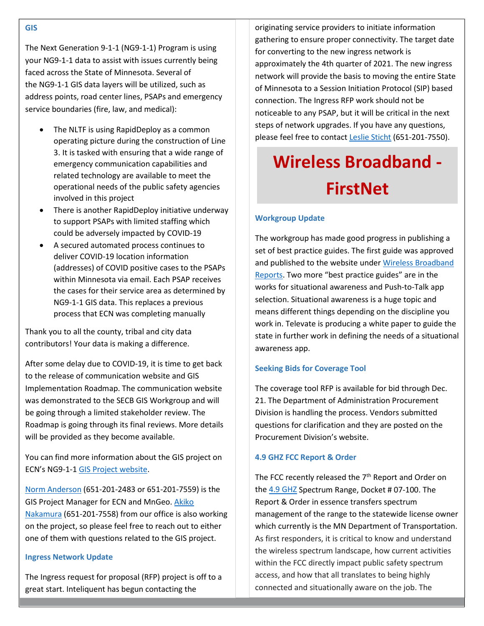The Next Generation 9-1-1 (NG9-1-1) Program is using your NG9-1-1 data to assist with issues currently being faced across the State of Minnesota. Several of the NG9-1-1 GIS data layers will be utilized, such as address points, road center lines, PSAPs and emergency service boundaries (fire, law, and medical):

- The NLTF is using RapidDeploy as a common operating picture during the construction of Line 3. It is tasked with ensuring that a wide range of emergency communication capabilities and related technology are available to meet the operational needs of the public safety agencies involved in this project
- There is another RapidDeploy initiative underway to support PSAPs with limited staffing which could be adversely impacted by COVID-19
- A secured automated process continues to deliver COVID-19 location information (addresses) of COVID positive cases to the PSAPs within Minnesota via email. Each PSAP receives the cases for their service area as determined by NG9-1-1 GIS data. This replaces a previous process that ECN was completing manually

Thank you to all the county, tribal and city data contributors! Your data is making a difference.

After some delay due to COVID-19, it is time to get back to the release of communication website and GIS Implementation Roadmap. The communication website was demonstrated to the SECB GIS Workgroup and will be going through a limited stakeholder review. The Roadmap is going through its final reviews. More details will be provided as they become available.

You can find more information about the GIS project on ECN's NG9-1-1 [GIS Project website.](https://dps.mn.gov/divisions/ecn/programs/911/Pages/gis-information.aspx)

[Norm Anderson](mailto:Norm.Anderson@state.mn.us) (651-201-2483 or 651-201-7559) is the GIS Project Manager for ECN and MnGeo[. Akiko](mailto:Akiko.Nakamura@state.mn.us)  [Nakamura](mailto:Akiko.Nakamura@state.mn.us) (651-201-7558) from our office is also working on the project, so please feel free to reach out to either one of them with questions related to the GIS project.

### **Ingress Network Update**

The Ingress request for proposal (RFP) project is off to a great start. Inteliquent has begun contacting the

originating service providers to initiate information gathering to ensure proper connectivity. The target date for converting to the new ingress network is approximately the 4th quarter of 2021. The new ingress network will provide the basis to moving the entire State of Minnesota to a Session Initiation Protocol (SIP) based connection. The Ingress RFP work should not be noticeable to any PSAP, but it will be critical in the next steps of network upgrades. If you have any questions, please feel free to contact [Leslie Sticht](mailto:leslie.sticht@state.mn.us) (651-201-7550).

# **Wireless Broadband - FirstNet**

### **Workgroup Update**

The workgroup has made good progress in publishing a set of best practice guides. The first guide was approved and published to the website unde[r Wireless Broadband](https://dps.mn.gov/divisions/ecn/programs/wireless-broadband/Pages/wireless-broadband-reports.aspx)  [Reports.](https://dps.mn.gov/divisions/ecn/programs/wireless-broadband/Pages/wireless-broadband-reports.aspx) Two more "best practice guides" are in the works for situational awareness and Push-to-Talk app selection. Situational awareness is a huge topic and means different things depending on the discipline you work in. Televate is producing a white paper to guide the state in further work in defining the needs of a situational awareness app.

### **Seeking Bids for Coverage Tool**

The coverage tool RFP is available for bid through Dec. 21. The Department of Administration Procurement Division is handling the process. Vendors submitted questions for clarification and they are posted on the Procurement Division's website.

### **4.9 GHZ FCC Report & Order**

The FCC recently released the  $7<sup>th</sup>$  Report and Order on the [4.9 GHZ](https://www.fcc.gov/) Spectrum Range, Docket # 07-100. The Report & Order in essence transfers spectrum management of the range to the statewide license owner which currently is the MN Department of Transportation. As first responders, it is critical to know and understand the wireless spectrum landscape, how current activities within the FCC directly impact public safety spectrum access, and how that all translates to being highly connected and situationally aware on the job. The

#### **GIS**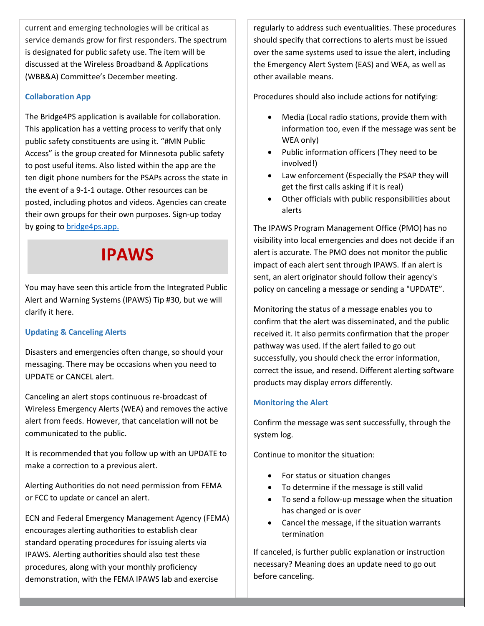current and emerging technologies will be critical as service demands grow for first responders. The spectrum is designated for public safety use. The item will be discussed at the Wireless Broadband & Applications (WBB&A) Committee's December meeting.

### **Collaboration App**

The Bridge4PS application is available for collaboration. This application has a vetting process to verify that only public safety constituents are using it. "#MN Public Access" is the group created for Minnesota public safety to post useful items. Also listed within the app are the ten digit phone numbers for the PSAPs across the state in the event of a 9-1-1 outage. Other resources can be posted, including photos and videos. Agencies can create their own groups for their own purposes. Sign-up today by going to **bridge4ps**.app.

### **IPAWS**

You may have seen this article from the Integrated Public Alert and Warning Systems (IPAWS) Tip #30, but we will clarify it here.

### **Updating & Canceling Alerts**

Disasters and emergencies often change, so should your messaging. There may be occasions when you need to UPDATE or CANCEL alert.

Canceling an alert stops continuous re-broadcast of Wireless Emergency Alerts (WEA) and removes the active alert from feeds. However, that cancelation will not be communicated to the public.

It is recommended that you follow up with an UPDATE to make a correction to a previous alert.

Alerting Authorities do not need permission from FEMA or FCC to update or cancel an alert.

ECN and Federal Emergency Management Agency (FEMA) encourages alerting authorities to establish clear standard operating procedures for issuing alerts via IPAWS. Alerting authorities should also test these procedures, along with your monthly proficiency demonstration, with the FEMA IPAWS lab and exercise

regularly to address such eventualities. These procedures should specify that corrections to alerts must be issued over the same systems used to issue the alert, including the Emergency Alert System (EAS) and WEA, as well as other available means.

Procedures should also include actions for notifying:

- Media (Local radio stations, provide them with information too, even if the message was sent be WEA only)
- Public information officers (They need to be involved!)
- Law enforcement (Especially the PSAP they will get the first calls asking if it is real)
- Other officials with public responsibilities about alerts

The IPAWS Program Management Office (PMO) has no visibility into local emergencies and does not decide if an alert is accurate. The PMO does not monitor the public impact of each alert sent through IPAWS. If an alert is sent, an alert originator should follow their agency's policy on canceling a message or sending a "UPDATE".

Monitoring the status of a message enables you to confirm that the alert was disseminated, and the public received it. It also permits confirmation that the proper pathway was used. If the alert failed to go out successfully, you should check the error information, correct the issue, and resend. Different alerting software products may display errors differently.

### **Monitoring the Alert**

Confirm the message was sent successfully, through the system log.

Continue to monitor the situation:

- For status or situation changes
- To determine if the message is still valid
- To send a follow-up message when the situation has changed or is over
- Cancel the message, if the situation warrants termination

If canceled, is further public explanation or instruction necessary? Meaning does an update need to go out before canceling.